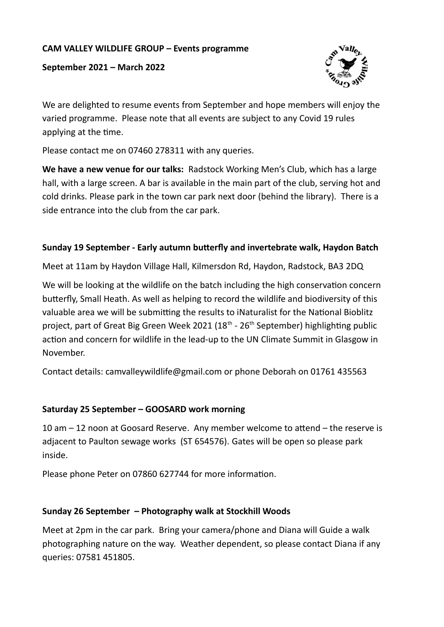# **CAM VALLEY WILDLIFE GROUP – Events programme**

**September 2021 – March 2022**



We are delighted to resume events from September and hope members will enjoy the varied programme. Please note that all events are subject to any Covid 19 rules applying at the time.

Please contact me on 07460 278311 with any queries.

**We have a new venue for our talks:** Radstock Working Men's Club, which has a large hall, with a large screen. A bar is available in the main part of the club, serving hot and cold drinks. Please park in the town car park next door (behind the library). There is a side entrance into the club from the car park.

#### **Sunday 19 September - Early autumn butterfly and invertebrate walk, Haydon Batch**

Meet at 11am by Haydon Village Hall, Kilmersdon Rd, Haydon, Radstock, BA3 2DQ

We will be looking at the wildlife on the batch including the high conservation concern butterfly, Small Heath. As well as helping to record the wildlife and biodiversity of this valuable area we will be submitting the results to iNaturalist for the National Bioblitz project, part of Great Big Green Week 2021 (18<sup>th</sup> - 26<sup>th</sup> September) highlighting public action and concern for wildlife in the lead-up to the UN Climate Summit in Glasgow in November.

Contact details: camvalleywildlife@gmail.com or phone Deborah on 01761 435563

# **Saturday 25 September – GOOSARD work morning**

10 am – 12 noon at Goosard Reserve. Any member welcome to attend – the reserve is adjacent to Paulton sewage works (ST 654576). Gates will be open so please park inside.

Please phone Peter on 07860 627744 for more information.

# **Sunday 26 September – Photography walk at Stockhill Woods**

Meet at 2pm in the car park. Bring your camera/phone and Diana will Guide a walk photographing nature on the way. Weather dependent, so please contact Diana if any queries: 07581 451805.